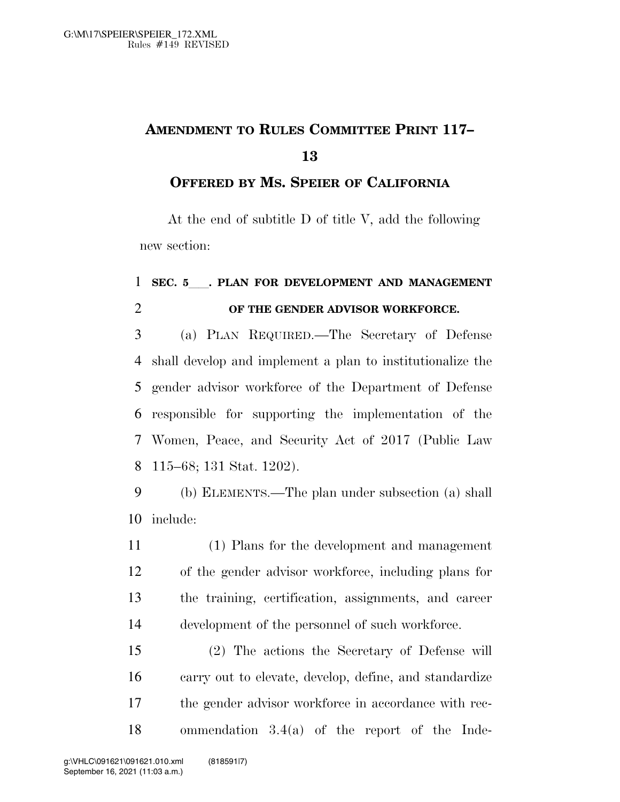## **AMENDMENT TO RULES COMMITTEE PRINT 117–**

## **OFFERED BY MS. SPEIER OF CALIFORNIA**

At the end of subtitle D of title V, add the following new section:

## **SEC. 5**ll**. PLAN FOR DEVELOPMENT AND MANAGEMENT OF THE GENDER ADVISOR WORKFORCE.**

 (a) PLAN REQUIRED.—The Secretary of Defense shall develop and implement a plan to institutionalize the gender advisor workforce of the Department of Defense responsible for supporting the implementation of the Women, Peace, and Security Act of 2017 (Public Law 115–68; 131 Stat. 1202).

 (b) ELEMENTS.—The plan under subsection (a) shall include:

 (1) Plans for the development and management of the gender advisor workforce, including plans for the training, certification, assignments, and career development of the personnel of such workforce.

 (2) The actions the Secretary of Defense will carry out to elevate, develop, define, and standardize the gender advisor workforce in accordance with rec-ommendation 3.4(a) of the report of the Inde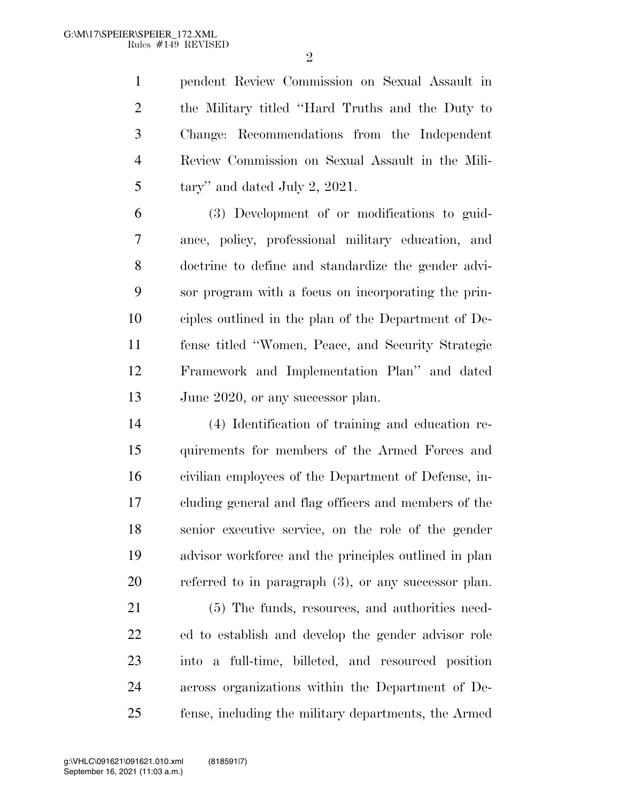$\mathfrak{D}$ 

 pendent Review Commission on Sexual Assault in the Military titled ''Hard Truths and the Duty to Change: Recommendations from the Independent Review Commission on Sexual Assault in the Mili- $5 \text{ tary}$  and dated July 2, 2021.

 (3) Development of or modifications to guid- ance, policy, professional military education, and doctrine to define and standardize the gender advi- sor program with a focus on incorporating the prin- ciples outlined in the plan of the Department of De- fense titled ''Women, Peace, and Security Strategic Framework and Implementation Plan'' and dated 13 June 2020, or any successor plan.

 (4) Identification of training and education re- quirements for members of the Armed Forces and civilian employees of the Department of Defense, in- cluding general and flag officers and members of the senior executive service, on the role of the gender advisor workforce and the principles outlined in plan referred to in paragraph (3), or any successor plan.

21 (5) The funds, resources, and authorities need- ed to establish and develop the gender advisor role into a full-time, billeted, and resourced position across organizations within the Department of De-fense, including the military departments, the Armed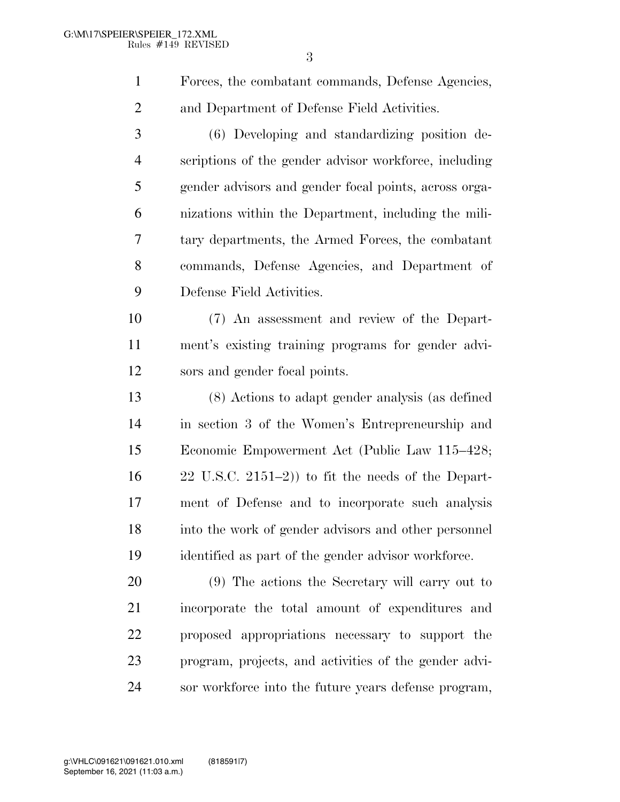Forces, the combatant commands, Defense Agencies, and Department of Defense Field Activities.

 (6) Developing and standardizing position de- scriptions of the gender advisor workforce, including gender advisors and gender focal points, across orga- nizations within the Department, including the mili- tary departments, the Armed Forces, the combatant commands, Defense Agencies, and Department of Defense Field Activities.

 (7) An assessment and review of the Depart- ment's existing training programs for gender advi-sors and gender focal points.

 (8) Actions to adapt gender analysis (as defined in section 3 of the Women's Entrepreneurship and Economic Empowerment Act (Public Law 115–428; 22 U.S.C. 2151–2)) to fit the needs of the Depart- ment of Defense and to incorporate such analysis into the work of gender advisors and other personnel identified as part of the gender advisor workforce.

 (9) The actions the Secretary will carry out to incorporate the total amount of expenditures and proposed appropriations necessary to support the program, projects, and activities of the gender advi-sor workforce into the future years defense program,